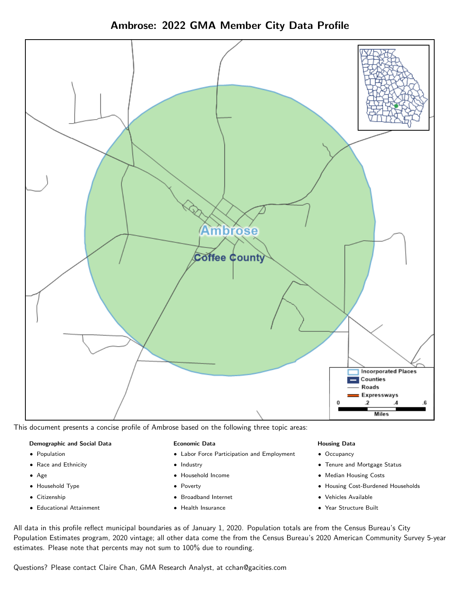Ambrose: 2022 GMA Member City Data Profile



This document presents a concise profile of Ambrose based on the following three topic areas:

#### Demographic and Social Data

- **•** Population
- Race and Ethnicity
- Age
- Household Type
- **Citizenship**
- Educational Attainment

## Economic Data

- Labor Force Participation and Employment
- Industry
- Household Income
- Poverty
- Broadband Internet
- Health Insurance

#### Housing Data

- Occupancy
- Tenure and Mortgage Status
- Median Housing Costs
- Housing Cost-Burdened Households
- Vehicles Available
- Year Structure Built

All data in this profile reflect municipal boundaries as of January 1, 2020. Population totals are from the Census Bureau's City Population Estimates program, 2020 vintage; all other data come the from the Census Bureau's 2020 American Community Survey 5-year estimates. Please note that percents may not sum to 100% due to rounding.

Questions? Please contact Claire Chan, GMA Research Analyst, at [cchan@gacities.com.](mailto:cchan@gacities.com)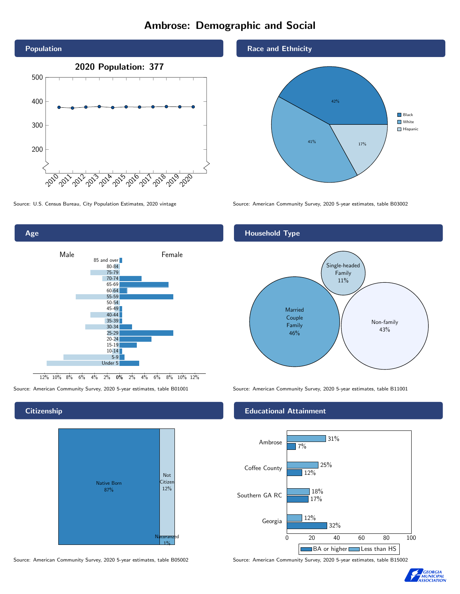# Ambrose: Demographic and Social





## **Citizenship**



Source: American Community Survey, 2020 5-year estimates, table B05002 Source: American Community Survey, 2020 5-year estimates, table B15002

### Race and Ethnicity



Source: U.S. Census Bureau, City Population Estimates, 2020 vintage Source: American Community Survey, 2020 5-year estimates, table B03002

# Household Type



Source: American Community Survey, 2020 5-year estimates, table B01001 Source: American Community Survey, 2020 5-year estimates, table B11001

### Educational Attainment



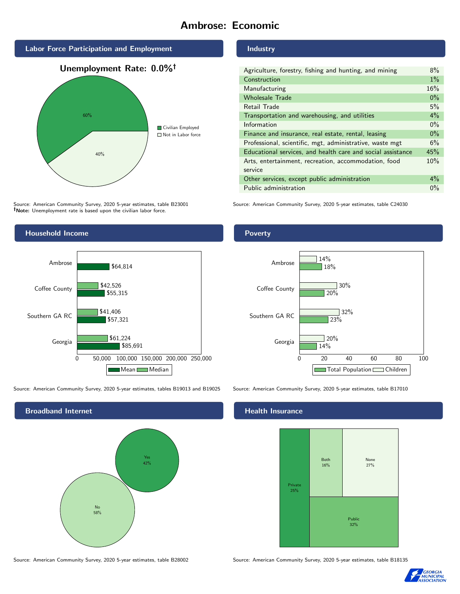# Ambrose: Economic



Source: American Community Survey, 2020 5-year estimates, table B23001 Note: Unemployment rate is based upon the civilian labor force.



Industry

| Construction                                                | $1\%$ |
|-------------------------------------------------------------|-------|
| Manufacturing                                               | 16%   |
| <b>Wholesale Trade</b>                                      | $0\%$ |
| Retail Trade                                                | 5%    |
| Transportation and warehousing, and utilities               | 4%    |
| Information                                                 | $0\%$ |
| Finance and insurance, real estate, rental, leasing         | $0\%$ |
| Professional, scientific, mgt, administrative, waste mgt    | 6%    |
| Educational services, and health care and social assistance | 45%   |
| Arts, entertainment, recreation, accommodation, food        | 10%   |
| service                                                     |       |
| Other services, except public administration                | 4%    |
| Public administration                                       | $0\%$ |

Source: American Community Survey, 2020 5-year estimates, table C24030



Source: American Community Survey, 2020 5-year estimates, tables B19013 and B19025 Source: American Community Survey, 2020 5-year estimates, table B17010

Broadband Internet No 58% Yes 42% Poverty



# **Health Insurance**



Source: American Community Survey, 2020 5-year estimates, table B28002 Source: American Community Survey, 2020 5-year estimates, table B18135